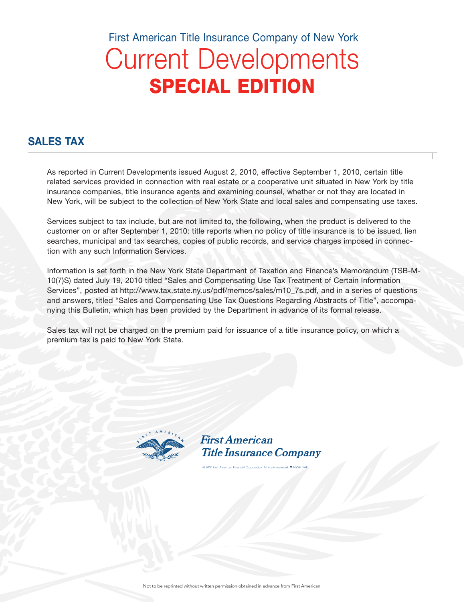# Current Developments SPECIAL EDITION First American Title Insurance Company of New York

# SALES TAX

As reported in Current Developments issued August 2, 2010, effective September 1, 2010, certain title related services provided in connection with real estate or a cooperative unit situated in New York by title insurance companies, title insurance agents and examining counsel, whether or not they are located in New York, will be subject to the collection of New York State and local sales and compensating use taxes.

Services subject to tax include, but are not limited to, the following, when the product is delivered to the customer on or after September 1, 2010: title reports when no policy of title insurance is to be issued, lien searches, municipal and tax searches, copies of public records, and service charges imposed in connection with any such Information Services.

Information is set forth in the New York State Department of Taxation and Finance's Memorandum (TSB-M-10(7)S) dated July 19, 2010 titled "Sales and Compensating Use Tax Treatment of Certain Information Services", posted at http://www.tax.state.ny.us/pdf/memos/sales/m10\_7s.pdf, and in a series of questions and answers, titled "Sales and Compensating Use Tax Questions Regarding Abstracts of Title", accompanying this Bulletin, which has been provided by the Department in advance of its formal release.

Sales tax will not be charged on the premium paid for issuance of a title insurance policy, on which a premium tax is paid to New York State.



**First American Title Insurance Company** 

© 2010 First American Financial Corporation. All rights reserved. ▼ NYSE: FAF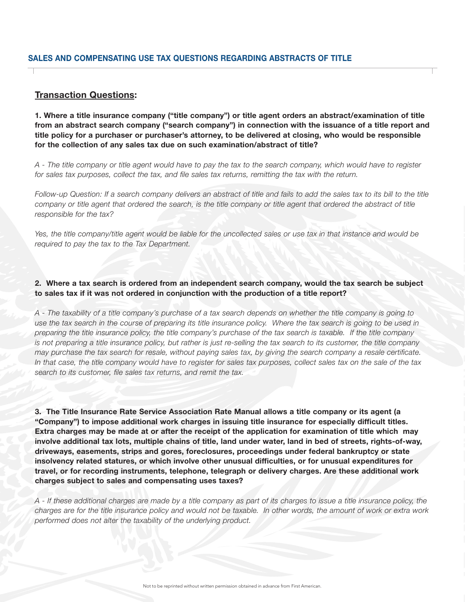#### Transaction Questions:

1. Where a title insurance company ("title company") or title agent orders an abstract/examination of title from an abstract search company ("search company") in connection with the issuance of a title report and title policy for a purchaser or purchaser's attorney, to be delivered at closing, who would be responsible for the collection of any sales tax due on such examination/abstract of title?

*A - The title company or title agent would have to pay the tax to the search company, which would have to register*  for sales tax purposes, collect the tax, and file sales tax returns, remitting the tax with the return.

*Follow-up Question: If a search company delivers an abstract of title and fails to add the sales tax to its bill to the title*  company or title agent that ordered the search, is the title company or title agent that ordered the abstract of title *responsible for the tax?* 

Yes, the title company/title agent would be liable for the uncollected sales or use tax in that instance and would be *required to pay the tax to the Tax Department.* 

2. Where a tax search is ordered from an independent search company, would the tax search be subject to sales tax if it was not ordered in conjunction with the production of a title report?

*A - The taxability of a title company's purchase of a tax search depends on whether the title company is going to use the tax search in the course of preparing its title insurance policy. Where the tax search is going to be used in preparing the title insurance policy, the title company's purchase of the tax search is taxable. If the title company is not preparing a title insurance policy, but rather is just re-selling the tax search to its customer, the title company may purchase the tax search for resale, without paying sales tax, by giving the search company a resale certificate. In that case, the title company would have to register for sales tax purposes, collect sales tax on the sale of the tax search to its customer, file sales tax returns, and remit the tax.* 

3. The Title Insurance Rate Service Association Rate Manual allows a title company or its agent (a "Company") to impose additional work charges in issuing title insurance for especially difficult titles. Extra charges may be made at or after the receipt of the application for examination of title which may involve additional tax lots, multiple chains of title, land under water, land in bed of streets, rights-of-way, driveways, easements, strips and gores, foreclosures, proceedings under federal bankruptcy or state insolvency related statures, or which involve other unusual difficulties, or for unusual expenditures for travel, or for recording instruments, telephone, telegraph or delivery charges. Are these additional work charges subject to sales and compensating uses taxes?

*A - If these additional charges are made by a title company as part of its charges to issue a title insurance policy, the charges are for the title insurance policy and would not be taxable. In other words, the amount of work or extra work performed does not alter the taxability of the underlying product.*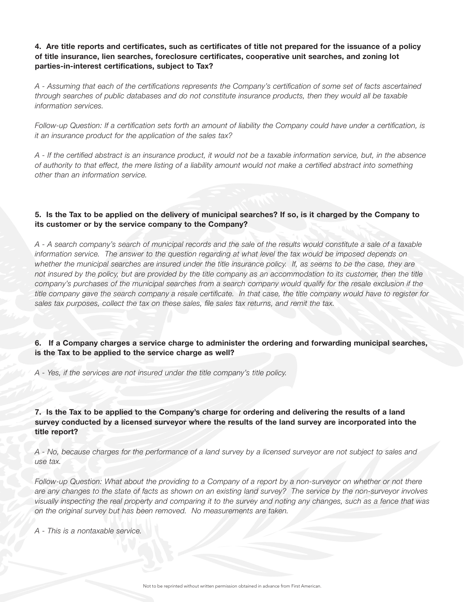4. Are title reports and certificates, such as certificates of title not prepared for the issuance of a policy of title insurance, lien searches, foreclosure certificates, cooperative unit searches, and zoning lot parties-in-interest certifications, subject to Tax?

*A - Assuming that each of the certifications represents the Company's certification of some set of facts ascertained through searches of public databases and do not constitute insurance products, then they would all be taxable information services.* 

*Follow-up Question: If a certification sets forth an amount of liability the Company could have under a certification, is it an insurance product for the application of the sales tax?* 

*A - If the certified abstract is an insurance product, it would not be a taxable information service, but, in the absence of authority to that effect, the mere listing of a liability amount would not make a certified abstract into something other than an information service.* 

#### 5. Is the Tax to be applied on the delivery of municipal searches? If so, is it charged by the Company to its customer or by the service company to the Company?

*A - A search company's search of municipal records and the sale of the results would constitute a sale of a taxable information service. The answer to the question regarding at what level the tax would be imposed depends on whether the municipal searches are insured under the title insurance policy. If, as seems to be the case, they are not insured by the policy, but are provided by the title company as an accommodation to its customer, then the title company's purchases of the municipal searches from a search company would qualify for the resale exclusion if the title company gave the search company a resale certificate. In that case, the title company would have to register for sales tax purposes, collect the tax on these sales, file sales tax returns, and remit the tax.* 

6. If a Company charges a service charge to administer the ordering and forwarding municipal searches, is the Tax to be applied to the service charge as well?

*A - Yes, if the services are not insured under the title company's title policy.* 

7. Is the Tax to be applied to the Company's charge for ordering and delivering the results of a land survey conducted by a licensed surveyor where the results of the land survey are incorporated into the title report?

*A - No, because charges for the performance of a land survey by a licensed surveyor are not subject to sales and use tax.* 

*Follow-up Question: What about the providing to a Company of a report by a non-surveyor on whether or not there are any changes to the state of facts as shown on an existing land survey? The service by the non-surveyor involves visually inspecting the real property and comparing it to the survey and noting any changes, such as a fence that was on the original survey but has been removed. No measurements are taken.* 

*A - This is a nontaxable service.*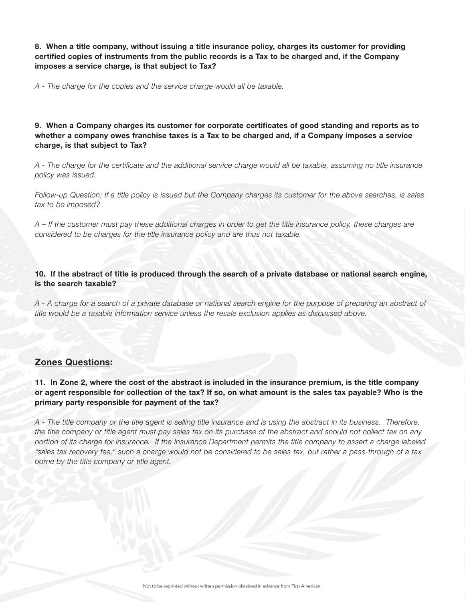8. When a title company, without issuing a title insurance policy, charges its customer for providing certified copies of instruments from the public records is a Tax to be charged and, if the Company imposes a service charge, is that subject to Tax?

*A - The charge for the copies and the service charge would all be taxable.* 

9. When a Company charges its customer for corporate certificates of good standing and reports as to whether a company owes franchise taxes is a Tax to be charged and, if a Company imposes a service charge, is that subject to Tax?

*A - The charge for the certificate and the additional service charge would all be taxable, assuming no title insurance policy was issued.* 

*Follow-up Question: If a title policy is issued but the Company charges its customer for the above searches, is sales tax to be imposed?* 

*A – If the customer must pay these additional charges in order to get the title insurance policy, these charges are considered to be charges for the title insurance policy and are thus not taxable.* 

10. If the abstract of title is produced through the search of a private database or national search engine, is the search taxable?

*A - A charge for a search of a private database or national search engine for the purpose of preparing an abstract of title would be a taxable information service unless the resale exclusion applies as discussed above.* 

# Zones Questions:

11. In Zone 2, where the cost of the abstract is included in the insurance premium, is the title company or agent responsible for collection of the tax? If so, on what amount is the sales tax payable? Who is the primary party responsible for payment of the tax?

*A - The title company or the title agent is selling title insurance and is using the abstract in its business. Therefore, the title company or title agent must pay sales tax on its purchase of the abstract and should not collect tax on any portion of its charge for insurance. If the Insurance Department permits the title company to assert a charge labeled "sales tax recovery fee," such a charge would not be considered to be sales tax, but rather a pass-through of a tax borne by the title company or title agent.*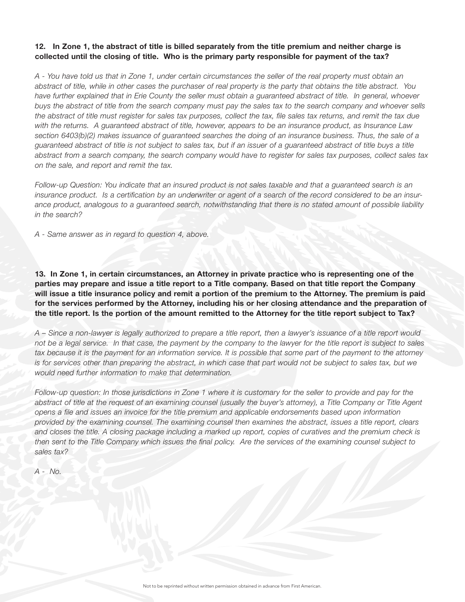### 12. In Zone 1, the abstract of title is billed separately from the title premium and neither charge is collected until the closing of title. Who is the primary party responsible for payment of the tax?

*A - You have told us that in Zone 1, under certain circumstances the seller of the real property must obtain an abstract of title, while in other cases the purchaser of real property is the party that obtains the title abstract. You have further explained that in Erie County the seller must obtain a guaranteed abstract of title. In general, whoever buys the abstract of title from the search company must pay the sales tax to the search company and whoever sells the abstract of title must register for sales tax purposes, collect the tax, file sales tax returns, and remit the tax due with the returns. A guaranteed abstract of title, however, appears to be an insurance product, as Insurance Law section 6403(b)(2) makes issuance of guaranteed searches the doing of an insurance business. Thus, the sale of a guaranteed abstract of title is not subject to sales tax, but if an issuer of a guaranteed abstract of title buys a title abstract from a search company, the search company would have to register for sales tax purposes, collect sales tax on the sale, and report and remit the tax.* 

*Follow-up Question: You indicate that an insured product is not sales taxable and that a guaranteed search is an insurance product. Is a certification by an underwriter or agent of a search of the record considered to be an insurance product, analogous to a guaranteed search, notwithstanding that there is no stated amount of possible liability in the search?* 

*A - Same answer as in regard to question 4, above.* 

13. In Zone 1, in certain circumstances, an Attorney in private practice who is representing one of the parties may prepare and issue a title report to a Title company. Based on that title report the Company will issue a title insurance policy and remit a portion of the premium to the Attorney. The premium is paid for the services performed by the Attorney, including his or her closing attendance and the preparation of the title report. Is the portion of the amount remitted to the Attorney for the title report subject to Tax?

*A – Since a non-lawyer is legally authorized to prepare a title report, then a lawyer's issuance of a title report would not be a legal service. In that case, the payment by the company to the lawyer for the title report is subject to sales tax because it is the payment for an information service. It is possible that some part of the payment to the attorney* is for services other than preparing the abstract, in which case that part would not be subject to sales tax, but we *would need further information to make that determination.* 

*Follow-up question: In those jurisdictions in Zone 1 where it is customary for the seller to provide and pay for the* abstract of title at the request of an examining counsel (usually the buyer's attorney), a Title Company or Title Agent *opens a file and issues an invoice for the title premium and applicable endorsements based upon information provided by the examining counsel. The examining counsel then examines the abstract, issues a title report, clears and closes the title. A closing package including a marked up report, copies of curatives and the premium check is then sent to the Title Company which issues the final policy. Are the services of the examining counsel subject to sales tax?*

*A - No.*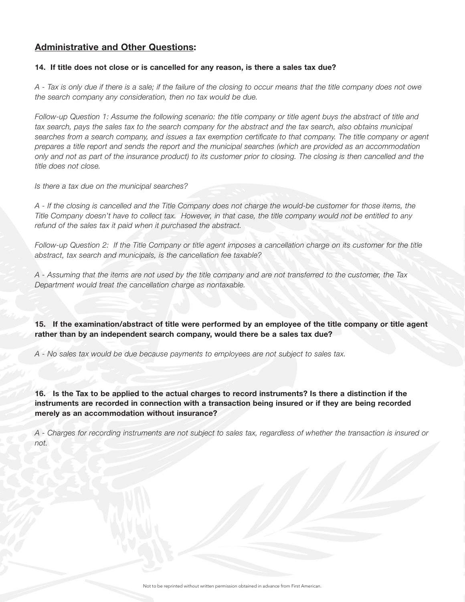# Administrative and Other Questions:

#### 14. If title does not close or is cancelled for any reason, is there a sales tax due?

*A - Tax is only due if there is a sale; if the failure of the closing to occur means that the title company does not owe the search company any consideration, then no tax would be due.* 

*Follow-up Question 1: Assume the following scenario: the title company or title agent buys the abstract of title and*  tax search, pays the sales tax to the search company for the abstract and the tax search, also obtains municipal *searches from a search company, and issues a tax exemption certificate to that company. The title company or agent prepares a title report and sends the report and the municipal searches (which are provided as an accommodation only and not as part of the insurance product) to its customer prior to closing. The closing is then cancelled and the title does not close.*

*Is there a tax due on the municipal searches?* 

*A - If the closing is cancelled and the Title Company does not charge the would-be customer for those items, the Title Company doesn't have to collect tax. However, in that case, the title company would not be entitled to any refund of the sales tax it paid when it purchased the abstract.* 

*Follow-up Question 2: If the Title Company or title agent imposes a cancellation charge on its customer for the title abstract, tax search and municipals, is the cancellation fee taxable?* 

*A - Assuming that the items are not used by the title company and are not transferred to the customer, the Tax Department would treat the cancellation charge as nontaxable.* 

15. If the examination/abstract of title were performed by an employee of the title company or title agent rather than by an independent search company, would there be a sales tax due?

*A - No sales tax would be due because payments to employees are not subject to sales tax.* 

16. Is the Tax to be applied to the actual charges to record instruments? Is there a distinction if the instruments are recorded in connection with a transaction being insured or if they are being recorded merely as an accommodation without insurance?

*A - Charges for recording instruments are not subject to sales tax, regardless of whether the transaction is insured or not.*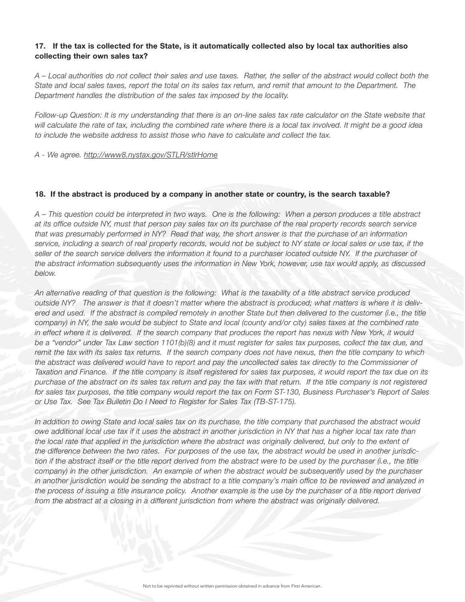#### 17. If the tax is collected for the State, is it automatically collected also by local tax authorities also collecting their own sales tax?

*A – Local authorities do not collect their sales and use taxes. Rather, the seller of the abstract would collect both the State and local sales taxes, report the total on its sales tax return, and remit that amount to the Department. The Department handles the distribution of the sales tax imposed by the locality.*

*Follow-up Question: It is my understanding that there is an on-line sales tax rate calculator on the State website that will calculate the rate of tax, including the combined rate where there is a local tax involved. It might be a good idea to include the website address to assist those who have to calculate and collect the tax.* 

*A - We agree. http://www8.nystax.gov/STLR/stlrHome*

#### 18. If the abstract is produced by a company in another state or country, is the search taxable?

*A – This question could be interpreted in two ways. One is the following: When a person produces a title abstract at its office outside NY, must that person pay sales tax on its purchase of the real property records search service that was presumably performed in NY? Read that way, the short answer is that the purchase of an information service, including a search of real property records, would not be subject to NY state or local sales or use tax, if the seller of the search service delivers the information it found to a purchaser located outside NY. If the purchaser of the abstract information subsequently uses the information in New York, however, use tax would apply, as discussed below.* 

*An alternative reading of that question is the following: What is the taxability of a title abstract service produced outside NY? The answer is that it doesn't matter where the abstract is produced; what matters is where it is delivered and used. If the abstract is compiled remotely in another State but then delivered to the customer (i.e., the title company) in NY, the sale would be subject to State and local (county and/or city) sales taxes at the combined rate in effect where it is delivered. If the search company that produces the report has nexus with New York, it would be a "vendor" under Tax Law section 1101(b)(8) and it must register for sales tax purposes, collect the tax due, and remit the tax with its sales tax returns. If the search company does not have nexus, then the title company to which the abstract was delivered would have to report and pay the uncollected sales tax directly to the Commissioner of Taxation and Finance. If the title company is itself registered for sales tax purposes, it would report the tax due on its purchase of the abstract on its sales tax return and pay the tax with that return. If the title company is not registered for sales tax purposes, the title company would report the tax on Form ST-130, Business Purchaser's Report of Sales or Use Tax. See Tax Bulletin Do I Need to Register for Sales Tax (TB-ST-175).*

*In addition to owing State and local sales tax on its purchase, the title company that purchased the abstract would owe additional local use tax if it uses the abstract in another jurisdiction in NY that has a higher local tax rate than the local rate that applied in the jurisdiction where the abstract was originally delivered, but only to the extent of the difference between the two rates. For purposes of the use tax, the abstract would be used in another jurisdiction if the abstract itself or the title report derived from the abstract were to be used by the purchaser (i.e., the title company) in the other jurisdiction. An example of when the abstract would be subsequently used by the purchaser in another jurisdiction would be sending the abstract to a title company's main office to be reviewed and analyzed in the process of issuing a title insurance policy. Another example is the use by the purchaser of a title report derived from the abstract at a closing in a different jurisdiction from where the abstract was originally delivered.*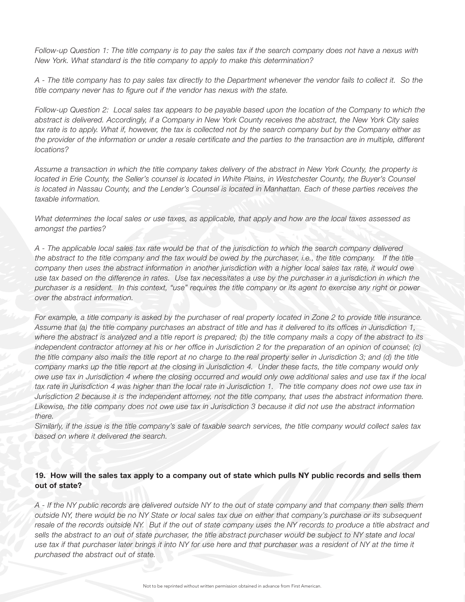*Follow-up Question 1: The title company is to pay the sales tax if the search company does not have a nexus with New York. What standard is the title company to apply to make this determination?* 

*A - The title company has to pay sales tax directly to the Department whenever the vendor fails to collect it. So the title company never has to figure out if the vendor has nexus with the state.*

*Follow-up Question 2: Local sales tax appears to be payable based upon the location of the Company to which the abstract is delivered. Accordingly, if a Company in New York County receives the abstract, the New York City sales tax rate is to apply. What if, however, the tax is collected not by the search company but by the Company either as the provider of the information or under a resale certificate and the parties to the transaction are in multiple, different locations?* 

*Assume a transaction in which the title company takes delivery of the abstract in New York County, the property is located in Erie County, the Seller's counsel is located in White Plains, in Westchester County, the Buyer's Counsel is located in Nassau County, and the Lender's Counsel is located in Manhattan. Each of these parties receives the taxable information.* 

*What determines the local sales or use taxes, as applicable, that apply and how are the local taxes assessed as amongst the parties?* 

*A - The applicable local sales tax rate would be that of the jurisdiction to which the search company delivered the abstract to the title company and the tax would be owed by the purchaser, i.e., the title company.* If the title *company then uses the abstract information in another jurisdiction with a higher local sales tax rate, it would owe use tax based on the difference in rates. Use tax necessitates a use by the purchaser in a jurisdiction in which the purchaser is a resident. In this context, "use" requires the title company or its agent to exercise any right or power over the abstract information.* 

*For example, a title company is asked by the purchaser of real property located in Zone 2 to provide title insurance. Assume that (a) the title company purchases an abstract of title and has it delivered to its offices in Jurisdiction 1, where the abstract is analyzed and a title report is prepared; (b) the title company mails a copy of the abstract to its independent contractor attorney at his or her office in Jurisdiction 2 for the preparation of an opinion of counsel; (c) the title company also mails the title report at no charge to the real property seller in Jurisdiction 3; and (d) the title company marks up the title report at the closing in Jurisdiction 4. Under these facts, the title company would only owe use tax in Jurisdiction 4 where the closing occurred and would only owe additional sales and use tax if the local tax rate in Jurisdiction 4 was higher than the local rate in Jurisdiction 1. The title company does not owe use tax in Jurisdiction 2 because it is the independent attorney, not the title company, that uses the abstract information there. Likewise, the title company does not owe use tax in Jurisdiction 3 because it did not use the abstract information there.* 

*Similarly, if the issue is the title company's sale of taxable search services, the title company would collect sales tax based on where it delivered the search.* 

#### 19. How will the sales tax apply to a company out of state which pulls NY public records and sells them out of state?

*A - If the NY public records are delivered outside NY to the out of state company and that company then sells them outside NY, there would be no NY State or local sales tax due on either that company's purchase or its subsequent resale of the records outside NY. But if the out of state company uses the NY records to produce a title abstract and sells the abstract to an out of state purchaser, the title abstract purchaser would be subject to NY state and local*  use tax if that purchaser later brings it into NY for use here and that purchaser was a resident of NY at the time it *purchased the abstract out of state.*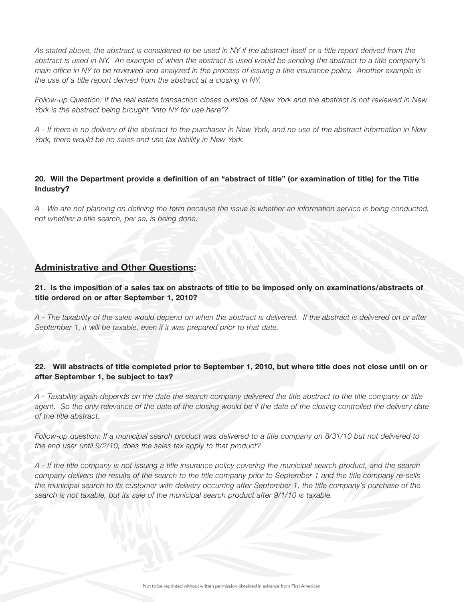*As stated above, the abstract is considered to be used in NY if the abstract itself or a title report derived from the abstract is used in NY. An example of when the abstract is used would be sending the abstract to a title company's main office in NY to be reviewed and analyzed in the process of issuing a title insurance policy. Another example is the use of a title report derived from the abstract at a closing in NY.* 

*Follow-up Question: If the real estate transaction closes outside of New York and the abstract is not reviewed in New York is the abstract being brought "into NY for use here"?* 

*A - If there is no delivery of the abstract to the purchaser in New York, and no use of the abstract information in New York, there would be no sales and use tax liability in New York.* 

#### 20. Will the Department provide a definition of an "abstract of title" (or examination of title) for the Title Industry?

*A - We are not planning on defining the term because the issue is whether an information service is being conducted, not whether a title search, per se, is being done.* 

## Administrative and Other Questions:

21. Is the imposition of a sales tax on abstracts of title to be imposed only on examinations/abstracts of title ordered on or after September 1, 2010?

*A - The taxability of the sales would depend on when the abstract is delivered. If the abstract is delivered on or after September 1, it will be taxable, even if it was prepared prior to that date.* 

#### 22. Will abstracts of title completed prior to September 1, 2010, but where title does not close until on or after September 1, be subject to tax?

*A - Taxability again depends on the date the search company delivered the title abstract to the title company or title*  agent. So the only relevance of the date of the closing would be if the date of the closing controlled the delivery date *of the title abstract.*

*Follow-up question: If a municipal search product was delivered to a title company on 8/31/10 but not delivered to the end user until 9/2/10, does the sales tax apply to that product?*

*A - If the title company is not issuing a title insurance policy covering the municipal search product, and the search company delivers the results of the search to the title company prior to September 1 and the title company re-sells the municipal search to its customer with delivery occurring after September 1, the title company's purchase of the search is not taxable, but its sale of the municipal search product after 9/1/10 is taxable.*